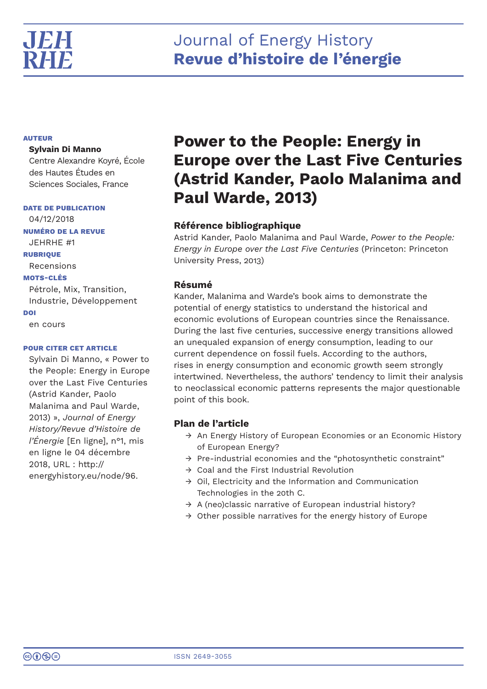# Journal of Energy History **Revue d'histoire de l'énergie**

## **AUTEUR**

## **Sylvain Di Manno**

Centre Alexandre Koyré, École des Hautes Études en Sciences Sociales, France

**DATE DE PUBLICATION**

04/12/2018 **NUMÉRO DE LA REVUE** JEHRHE #1 **RUBRIQUE** Recensions **MOTS-CLÉS** Pétrole, Mix, Transition,

Industrie, Développement **DOI** en cours

## **POUR CITER CET ARTICLE**

Sylvain Di Manno, « Power to the People: Energy in Europe over the Last Five Centuries (Astrid Kander, Paolo Malanima and Paul Warde, 2013) », *Journal of Energy History/Revue d'Histoire de l'Énergie* [En ligne], n°1, mis en ligne le 04 décembre 2018, URL : http:// energyhistory.eu/node/96.

# **Power to the People: Energy in Europe over the Last Five Centuries (Astrid Kander, Paolo Malanima and Paul Warde, 2013)**

# **Référence bibliographique**

Astrid Kander, Paolo Malanima and Paul Warde, *Power to the People: Energy in Europe over the Last Five Centuries* (Princeton: Princeton University Press, 2013)

# **Résumé**

Kander, Malanima and Warde's book aims to demonstrate the potential of energy statistics to understand the historical and economic evolutions of European countries since the Renaissance. During the last five centuries, successive energy transitions allowed an unequaled expansion of energy consumption, leading to our current dependence on fossil fuels. According to the authors, rises in energy consumption and economic growth seem strongly intertwined. Nevertheless, the authors' tendency to limit their analysis to neoclassical economic patterns represents the major questionable point of this book.

# **Plan de l'article**

- $\rightarrow$  An Energy History of European Economies or an Economic History of European Energy?
- $\rightarrow$  Pre-industrial economies and the "photosynthetic constraint"
- $\rightarrow$  Coal and the First Industrial Revolution
- $\rightarrow$  Oil, Electricity and the Information and Communication Technologies in the 20th C.
- $\rightarrow$  A (neo)classic narrative of European industrial history?
- $\rightarrow$  Other possible narratives for the energy history of Europe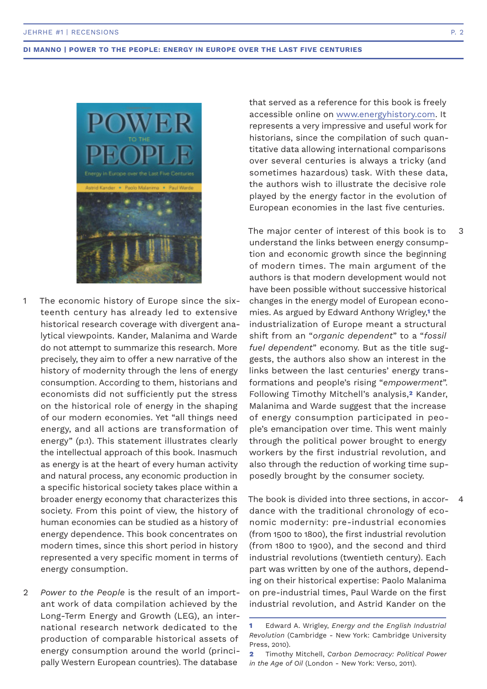

- The economic history of Europe since the sixteenth century has already led to extensive historical research coverage with divergent analytical viewpoints. Kander, Malanima and Warde do not attempt to summarize this research. More precisely, they aim to offer a new narrative of the history of modernity through the lens of energy consumption. According to them, historians and economists did not sufficiently put the stress on the historical role of energy in the shaping of our modern economies. Yet "all things need energy, and all actions are transformation of energy" (p.1). This statement illustrates clearly the intellectual approach of this book. Inasmuch as energy is at the heart of every human activity and natural process, any economic production in a specific historical society takes place within a broader energy economy that characterizes this society. From this point of view, the history of human economies can be studied as a history of energy dependence. This book concentrates on modern times, since this short period in history represented a very specific moment in terms of energy consumption. 1
- *Power to the People* is the result of an important work of data compilation achieved by the Long-Term Energy and Growth (LEG), an international research network dedicated to the production of comparable historical assets of energy consumption around the world (principally Western European countries). The database  $\mathfrak{D}$

that served as a reference for this book is freely accessible online on www.energyhistory.com. It represents a very impressive and useful work for historians, since the compilation of such quantitative data allowing international comparisons over several centuries is always a tricky (and sometimes hazardous) task. With these data, the authors wish to illustrate the decisive role played by the energy factor in the evolution of European economies in the last five centuries.

The major center of interest of this book is to understand the links between energy consumption and economic growth since the beginning of modern times. The main argument of the authors is that modern development would not have been possible without successive historical changes in the energy model of European economies. As argued by Edward Anthony Wrigley,**1** the industrialization of Europe meant a structural shift from an "*organic dependent*" to a "*fossil fuel dependent*" economy. But as the title suggests, the authors also show an interest in the links between the last centuries' energy transformations and people's rising "*empowerment*". Following Timothy Mitchell's analysis,**2** Kander, Malanima and Warde suggest that the increase of energy consumption participated in people's emancipation over time. This went mainly through the political power brought to energy workers by the first industrial revolution, and also through the reduction of working time supposedly brought by the consumer society.

The book is divided into three sections, in accordance with the traditional chronology of economic modernity: pre-industrial economies (from 1500 to 1800), the first industrial revolution (from 1800 to 1900), and the second and third industrial revolutions (twentieth century). Each part was written by one of the authors, depending on their historical expertise: Paolo Malanima on pre-industrial times, Paul Warde on the first industrial revolution, and Astrid Kander on the 4

3

**<sup>1</sup>** Edward A. Wrigley, *Energy and the English Industrial Revolution* (Cambridge - New York: Cambridge University Press, 2010).

**<sup>2</sup>** Timothy Mitchell, *Carbon Democracy: Political Power in the Age of Oil* (London - New York: Verso, 2011).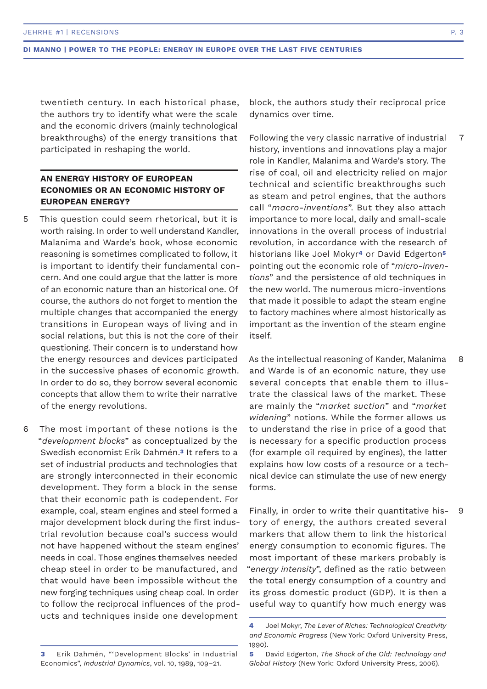twentieth century. In each historical phase, the authors try to identify what were the scale and the economic drivers (mainly technological breakthroughs) of the energy transitions that participated in reshaping the world.

# **AN ENERGY HISTORY OF EUROPEAN ECONOMIES OR AN ECONOMIC HISTORY OF EUROPEAN ENERGY?**

- This question could seem rhetorical, but it is worth raising. In order to well understand Kandler, Malanima and Warde's book, whose economic reasoning is sometimes complicated to follow, it is important to identify their fundamental concern. And one could argue that the latter is more of an economic nature than an historical one. Of course, the authors do not forget to mention the multiple changes that accompanied the energy transitions in European ways of living and in social relations, but this is not the core of their questioning. Their concern is to understand how the energy resources and devices participated in the successive phases of economic growth. In order to do so, they borrow several economic concepts that allow them to write their narrative of the energy revolutions. 5
- The most important of these notions is the "*development blocks*" as conceptualized by the Swedish economist Erik Dahmén.**3** It refers to a set of industrial products and technologies that are strongly interconnected in their economic development. They form a block in the sense that their economic path is codependent. For example, coal, steam engines and steel formed a major development block during the first industrial revolution because coal's success would not have happened without the steam engines' needs in coal. Those engines themselves needed cheap steel in order to be manufactured, and that would have been impossible without the new forging techniques using cheap coal. In order to follow the reciprocal influences of the products and techniques inside one development 6

block, the authors study their reciprocal price dynamics over time.

Following the very classic narrative of industrial history, inventions and innovations play a major role in Kandler, Malanima and Warde's story. The rise of coal, oil and electricity relied on major technical and scientific breakthroughs such as steam and petrol engines, that the authors call "*macro-inventions*". But they also attach importance to more local, daily and small-scale innovations in the overall process of industrial revolution, in accordance with the research of historians like Joel Mokyr**4** or David Edgerton**<sup>5</sup>** pointing out the economic role of "*micro-inventions*" and the persistence of old techniques in the new world. The numerous micro-inventions that made it possible to adapt the steam engine to factory machines where almost historically as important as the invention of the steam engine itself. 7

As the intellectual reasoning of Kander, Malanima and Warde is of an economic nature, they use several concepts that enable them to illustrate the classical laws of the market. These are mainly the "*market suction*" and "*market widening*" notions. While the former allows us to understand the rise in price of a good that is necessary for a specific production process (for example oil required by engines), the latter explains how low costs of a resource or a technical device can stimulate the use of new energy forms. 8

Finally, in order to write their quantitative history of energy, the authors created several markers that allow them to link the historical energy consumption to economic figures. The most important of these markers probably is "*energy intensity*", defined as the ratio between the total energy consumption of a country and its gross domestic product (GDP). It is then a useful way to quantify how much energy was 9

**<sup>4</sup>** Joel Mokyr, *The Lever of Riches: Technological Creativity and Economic Progress* (New York: Oxford University Press, 1990).

**<sup>3</sup>** Erik Dahmén, "'Development Blocks' in Industrial Economics", *Industrial Dynamics*, vol. 10, 1989, 109–21.

**<sup>5</sup>** David Edgerton, *The Shock of the Old: Technology and Global History* (New York: Oxford University Press, 2006).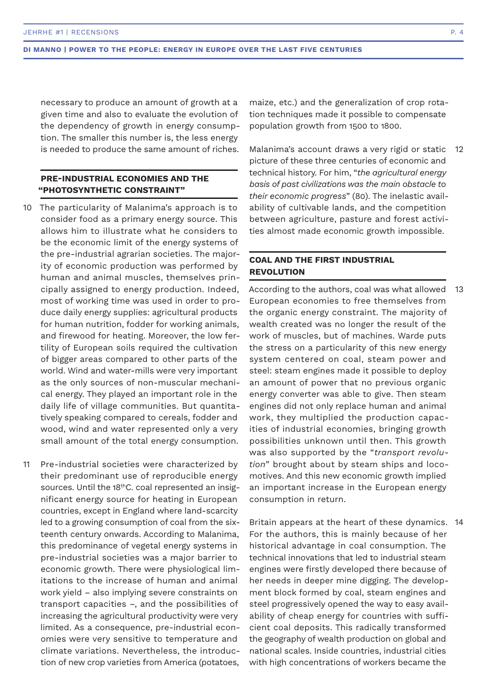necessary to produce an amount of growth at a given time and also to evaluate the evolution of the dependency of growth in energy consumption. The smaller this number is, the less energy is needed to produce the same amount of riches.

## **PRE-INDUSTRIAL ECONOMIES AND THE "PHOTOSYNTHETIC CONSTRAINT"**

- 10 The particularity of Malanima's approach is to consider food as a primary energy source. This allows him to illustrate what he considers to be the economic limit of the energy systems of the pre-industrial agrarian societies. The majority of economic production was performed by human and animal muscles, themselves principally assigned to energy production. Indeed, most of working time was used in order to produce daily energy supplies: agricultural products for human nutrition, fodder for working animals, and firewood for heating. Moreover, the low fertility of European soils required the cultivation of bigger areas compared to other parts of the world. Wind and water-mills were very important as the only sources of non-muscular mechanical energy. They played an important role in the daily life of village communities. But quantitatively speaking compared to cereals, fodder and wood, wind and water represented only a very small amount of the total energy consumption.
- Pre-industrial societies were characterized by their predominant use of reproducible energy sources. Until the 18<sup>th</sup>C. coal represented an insignificant energy source for heating in European countries, except in England where land-scarcity led to a growing consumption of coal from the sixteenth century onwards. According to Malanima, this predominance of vegetal energy systems in pre-industrial societies was a major barrier to economic growth. There were physiological limitations to the increase of human and animal work yield – also implying severe constraints on transport capacities –, and the possibilities of increasing the agricultural productivity were very limited. As a consequence, pre-industrial economies were very sensitive to temperature and climate variations. Nevertheless, the introduction of new crop varieties from America (potatoes, 11

maize, etc.) and the generalization of crop rotation techniques made it possible to compensate population growth from 1500 to 1800.

Malanima's account draws a very rigid or static picture of these three centuries of economic and technical history. For him, "*the agricultural energy basis of past civilizations was the main obstacle to their economic progress*" (80). The inelastic availability of cultivable lands, and the competition between agriculture, pasture and forest activities almost made economic growth impossible. 12

## **COAL AND THE FIRST INDUSTRIAL REVOLUTION**

According to the authors, coal was what allowed European economies to free themselves from the organic energy constraint. The majority of wealth created was no longer the result of the work of muscles, but of machines. Warde puts the stress on a particularity of this new energy system centered on coal, steam power and steel: steam engines made it possible to deploy an amount of power that no previous organic energy converter was able to give. Then steam engines did not only replace human and animal work, they multiplied the production capacities of industrial economies, bringing growth possibilities unknown until then. This growth was also supported by the "*transport revolution*" brought about by steam ships and locomotives. And this new economic growth implied an important increase in the European energy consumption in return. 13

Britain appears at the heart of these dynamics. 14For the authors, this is mainly because of her historical advantage in coal consumption. The technical innovations that led to industrial steam engines were firstly developed there because of her needs in deeper mine digging. The development block formed by coal, steam engines and steel progressively opened the way to easy availability of cheap energy for countries with sufficient coal deposits. This radically transformed the geography of wealth production on global and national scales. Inside countries, industrial cities with high concentrations of workers became the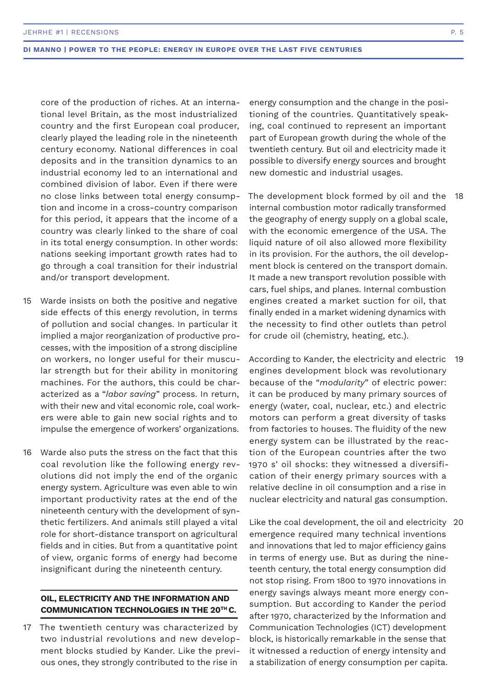core of the production of riches. At an international level Britain, as the most industrialized country and the first European coal producer, clearly played the leading role in the nineteenth century economy. National differences in coal deposits and in the transition dynamics to an industrial economy led to an international and combined division of labor. Even if there were no close links between total energy consumption and income in a cross-country comparison for this period, it appears that the income of a country was clearly linked to the share of coal in its total energy consumption. In other words: nations seeking important growth rates had to go through a coal transition for their industrial and/or transport development.

- Warde insists on both the positive and negative side effects of this energy revolution, in terms of pollution and social changes. In particular it implied a major reorganization of productive processes, with the imposition of a strong discipline on workers, no longer useful for their muscular strength but for their ability in monitoring machines. For the authors, this could be characterized as a "*labor saving*" process. In return, with their new and vital economic role, coal workers were able to gain new social rights and to impulse the emergence of workers' organizations. 15
- Warde also puts the stress on the fact that this coal revolution like the following energy revolutions did not imply the end of the organic energy system. Agriculture was even able to win important productivity rates at the end of the nineteenth century with the development of synthetic fertilizers. And animals still played a vital role for short-distance transport on agricultural fields and in cities. But from a quantitative point of view, organic forms of energy had become insignificant during the nineteenth century. 16

## **OIL, ELECTRICITY AND THE INFORMATION AND COMMUNICATION TECHNOLOGIES IN THE 20TH C.**

17 The twentieth century was characterized by two industrial revolutions and new development blocks studied by Kander. Like the previous ones, they strongly contributed to the rise in

energy consumption and the change in the positioning of the countries. Quantitatively speaking, coal continued to represent an important part of European growth during the whole of the twentieth century. But oil and electricity made it possible to diversify energy sources and brought new domestic and industrial usages.

The development block formed by oil and the 18 internal combustion motor radically transformed the geography of energy supply on a global scale, with the economic emergence of the USA. The liquid nature of oil also allowed more flexibility in its provision. For the authors, the oil development block is centered on the transport domain. It made a new transport revolution possible with cars, fuel ships, and planes. Internal combustion engines created a market suction for oil, that finally ended in a market widening dynamics with the necessity to find other outlets than petrol for crude oil (chemistry, heating, etc.).

According to Kander, the electricity and electric 19 engines development block was revolutionary because of the "*modularity*" of electric power: it can be produced by many primary sources of energy (water, coal, nuclear, etc.) and electric motors can perform a great diversity of tasks from factories to houses. The fluidity of the new energy system can be illustrated by the reaction of the European countries after the two 1970 s' oil shocks: they witnessed a diversification of their energy primary sources with a relative decline in oil consumption and a rise in nuclear electricity and natural gas consumption.

Like the coal development, the oil and electricity 20 emergence required many technical inventions and innovations that led to major efficiency gains in terms of energy use. But as during the nineteenth century, the total energy consumption did not stop rising. From 1800 to 1970 innovations in energy savings always meant more energy consumption. But according to Kander the period after 1970, characterized by the Information and Communication Technologies (ICT) development block, is historically remarkable in the sense that it witnessed a reduction of energy intensity and a stabilization of energy consumption per capita.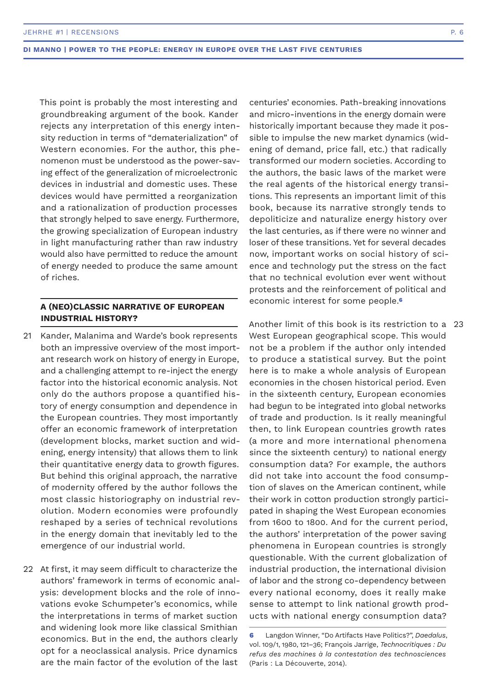This point is probably the most interesting and groundbreaking argument of the book. Kander rejects any interpretation of this energy intensity reduction in terms of "dematerialization" of Western economies. For the author, this phenomenon must be understood as the power-saving effect of the generalization of microelectronic devices in industrial and domestic uses. These devices would have permitted a reorganization and a rationalization of production processes that strongly helped to save energy. Furthermore, the growing specialization of European industry in light manufacturing rather than raw industry would also have permitted to reduce the amount of energy needed to produce the same amount of riches.

## **A (NEO)CLASSIC NARRATIVE OF EUROPEAN INDUSTRIAL HISTORY?**

- 21 Kander, Malanima and Warde's book represents both an impressive overview of the most important research work on history of energy in Europe, and a challenging attempt to re-inject the energy factor into the historical economic analysis. Not only do the authors propose a quantified history of energy consumption and dependence in the European countries. They most importantly offer an economic framework of interpretation (development blocks, market suction and widening, energy intensity) that allows them to link their quantitative energy data to growth figures. But behind this original approach, the narrative of modernity offered by the author follows the most classic historiography on industrial revolution. Modern economies were profoundly reshaped by a series of technical revolutions in the energy domain that inevitably led to the emergence of our industrial world.
- 22 At first, it may seem difficult to characterize the authors' framework in terms of economic analysis: development blocks and the role of innovations evoke Schumpeter's economics, while the interpretations in terms of market suction and widening look more like classical Smithian economics. But in the end, the authors clearly opt for a neoclassical analysis. Price dynamics are the main factor of the evolution of the last

centuries' economies. Path-breaking innovations and micro-inventions in the energy domain were historically important because they made it possible to impulse the new market dynamics (widening of demand, price fall, etc.) that radically transformed our modern societies. According to the authors, the basic laws of the market were the real agents of the historical energy transitions. This represents an important limit of this book, because its narrative strongly tends to depoliticize and naturalize energy history over the last centuries, as if there were no winner and loser of these transitions. Yet for several decades now, important works on social history of science and technology put the stress on the fact that no technical evolution ever went without protests and the reinforcement of political and economic interest for some people.**<sup>6</sup>**

Another limit of this book is its restriction to a 23 West European geographical scope. This would not be a problem if the author only intended to produce a statistical survey. But the point here is to make a whole analysis of European economies in the chosen historical period. Even in the sixteenth century, European economies had begun to be integrated into global networks of trade and production. Is it really meaningful then, to link European countries growth rates (a more and more international phenomena since the sixteenth century) to national energy consumption data? For example, the authors did not take into account the food consumption of slaves on the American continent, while their work in cotton production strongly participated in shaping the West European economies from 1600 to 1800. And for the current period, the authors' interpretation of the power saving phenomena in European countries is strongly questionable. With the current globalization of industrial production, the international division of labor and the strong co-dependency between every national economy, does it really make sense to attempt to link national growth products with national energy consumption data?

**<sup>6</sup>** Langdon Winner, "Do Artifacts Have Politics?", *Daedalus*, vol. 109/1, 1980, 121–36; François Jarrige, *Technocritiques : Du refus des machines à la contestation des technosciences* (Paris : La Découverte, 2014).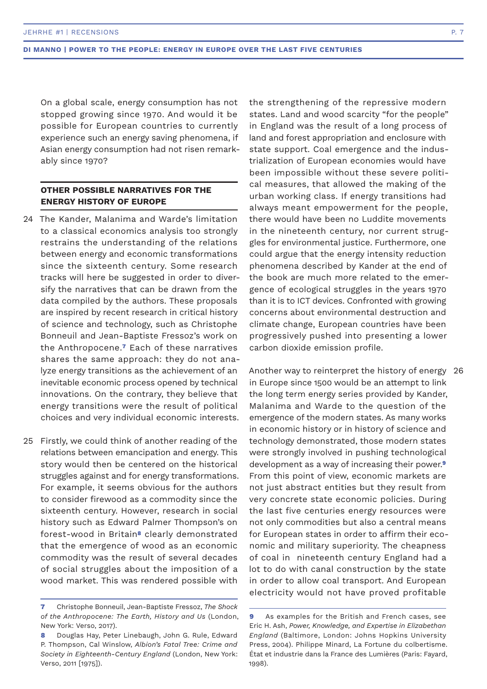On a global scale, energy consumption has not stopped growing since 1970. And would it be possible for European countries to currently experience such an energy saving phenomena, if Asian energy consumption had not risen remarkably since 1970?

## **OTHER POSSIBLE NARRATIVES FOR THE ENERGY HISTORY OF EUROPE**

- The Kander, Malanima and Warde's limitation 24 to a classical economics analysis too strongly restrains the understanding of the relations between energy and economic transformations since the sixteenth century. Some research tracks will here be suggested in order to diversify the narratives that can be drawn from the data compiled by the authors. These proposals are inspired by recent research in critical history of science and technology, such as Christophe Bonneuil and Jean-Baptiste Fressoz's work on the Anthropocene.**7** Each of these narratives shares the same approach: they do not analyze energy transitions as the achievement of an inevitable economic process opened by technical innovations. On the contrary, they believe that energy transitions were the result of political choices and very individual economic interests.
- 25 Firstly, we could think of another reading of the relations between emancipation and energy. This story would then be centered on the historical struggles against and for energy transformations. For example, it seems obvious for the authors to consider firewood as a commodity since the sixteenth century. However, research in social history such as Edward Palmer Thompson's on forest-wood in Britain**8** clearly demonstrated that the emergence of wood as an economic commodity was the result of several decades of social struggles about the imposition of a wood market. This was rendered possible with

the strengthening of the repressive modern states. Land and wood scarcity "for the people" in England was the result of a long process of land and forest appropriation and enclosure with state support. Coal emergence and the industrialization of European economies would have been impossible without these severe political measures, that allowed the making of the urban working class. If energy transitions had always meant empowerment for the people, there would have been no Luddite movements in the nineteenth century, nor current struggles for environmental justice. Furthermore, one could argue that the energy intensity reduction phenomena described by Kander at the end of the book are much more related to the emergence of ecological struggles in the years 1970 than it is to ICT devices. Confronted with growing concerns about environmental destruction and climate change, European countries have been progressively pushed into presenting a lower carbon dioxide emission profile.

Another way to reinterpret the history of energy 26in Europe since 1500 would be an attempt to link the long term energy series provided by Kander, Malanima and Warde to the question of the emergence of the modern states. As many works in economic history or in history of science and technology demonstrated, those modern states were strongly involved in pushing technological development as a way of increasing their power.**<sup>9</sup>** From this point of view, economic markets are not just abstract entities but they result from very concrete state economic policies. During the last five centuries energy resources were not only commodities but also a central means for European states in order to affirm their economic and military superiority. The cheapness of coal in nineteenth century England had a lot to do with canal construction by the state in order to allow coal transport. And European electricity would not have proved profitable

**<sup>7</sup>** Christophe Bonneuil, Jean-Baptiste Fressoz, *The Shock of the Anthropocene: The Earth, History and Us* (London, New York: Verso, 2017).

**<sup>8</sup>** Douglas Hay, Peter Linebaugh, John G. Rule, Edward P. Thompson, Cal Winslow, *Albion's Fatal Tree: Crime and Society in Eighteenth-Century England* (London, New York: Verso, 2011 [1975]).

**<sup>9</sup>** As examples for the British and French cases, see Eric H. Ash, *Power, Knowledge, and Expertise in Elizabethan England* (Baltimore, London: Johns Hopkins University Press, 2004). Philippe Minard, La Fortune du colbertisme. État et industrie dans la France des Lumières (Paris: Fayard, 1998).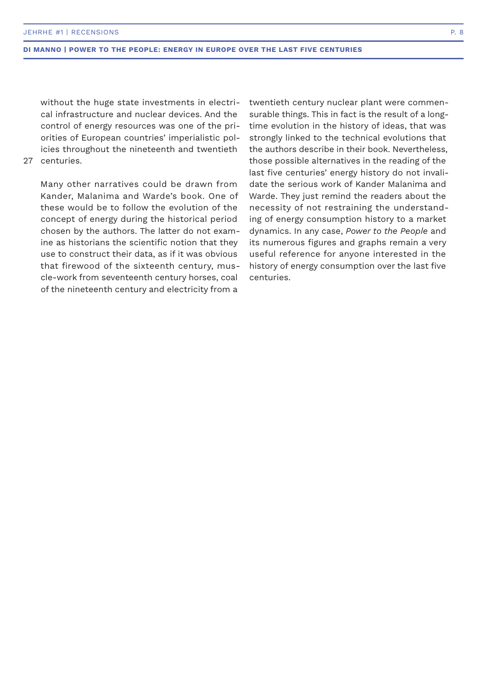without the huge state investments in electrical infrastructure and nuclear devices. And the control of energy resources was one of the priorities of European countries' imperialistic policies throughout the nineteenth and twentieth

## 27 centuries.

Many other narratives could be drawn from Kander, Malanima and Warde's book. One of these would be to follow the evolution of the concept of energy during the historical period chosen by the authors. The latter do not examine as historians the scientific notion that they use to construct their data, as if it was obvious that firewood of the sixteenth century, muscle-work from seventeenth century horses, coal of the nineteenth century and electricity from a

twentieth century nuclear plant were commensurable things. This in fact is the result of a longtime evolution in the history of ideas, that was strongly linked to the technical evolutions that the authors describe in their book. Nevertheless, those possible alternatives in the reading of the last five centuries' energy history do not invalidate the serious work of Kander Malanima and Warde. They just remind the readers about the necessity of not restraining the understanding of energy consumption history to a market dynamics. In any case, *Power to the People* and its numerous figures and graphs remain a very useful reference for anyone interested in the history of energy consumption over the last five centuries.